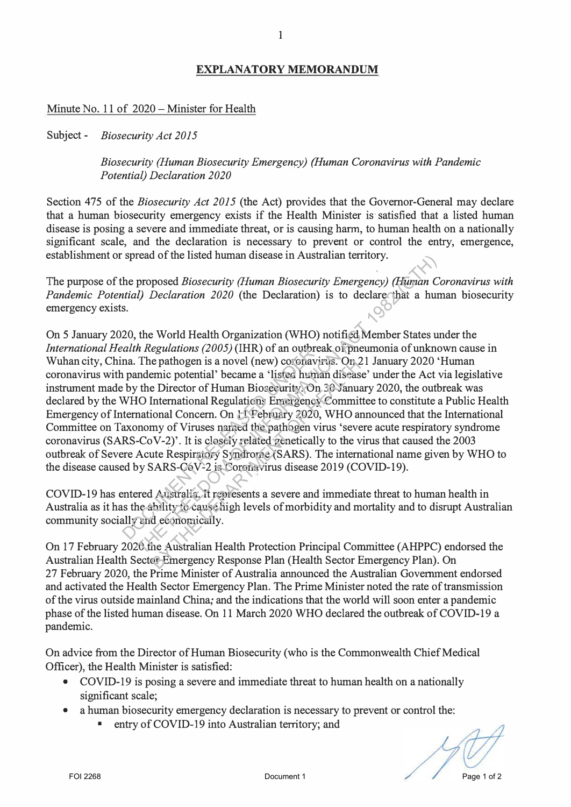## **EXPLANATORY MEMORANDUM**

1

Minute No. 11 of 2020 - Minister for Health

Subject - *Biosecurity Act 2015* 

*Biosecurity (Human Biosecurity Emergency) (Human Coronavirus with Pandemic Potential) Declaration 2020* 

Section 475 of the *Biosecurity Act 2015* (the Act) provides that the Governor-General may declare that a human biosecurity emergency exists if the Health Minister is satisfied that a listed human disease is posing a severe and immediate threat, or is causing harm, to human health on a nationally significant scale, and the declaration is necessary to prevent or control the entry, emergence, establishment or spread of the listed human disease in Australian territory.

The purpose of the proposed *Biosecurity (Human Biosecurity Emergency) (Human Coronavirus with Pandemic Potential) Declaration 2020* (the Declaration) is to declare that a human biosecurity emergency exists.

On 5 January 2020, the World Health Organization (WHO) notified Member States under the *International Health Regulations (2005)* (IHR) of an outbreak of pneumonia of unknown cause in Wuhan city, China. The pathogen is a novel (new) coronavirus. On 21 January 2020 'Human coronavirus with pandemic potential' became a 'listed human disease' under the Act via legislative instrument made by the Director of Human Biosecurity. On 30 January 2020, the outbreak was declared by the WHO International Regulations Emergency Committee to constitute a Public Health Emergency of International Concern. On 11 February 2020, WHO announced that the International Committee on Taxonomy of Viruses named the pathogen virus 'severe acute respiratory syndrome coronavirus (SARS-CoV-2)'. It is closely related genetically to the virus that caused the 2003 outbreak of Severe Acute Respiratory Syndrome (SARS). The international name given by WHO to the disease caused by SARS-CoV-2 is Coronavirus disease 2019 (COVID-19). Mathematin Regulations (2001) (HKN of an diogresar competition of this they were active that the stational mathematics in the stational mathematics of the Article head by the Director of Human Bioseguiriya, On 21 January read of the instead funnal disease in Australian territory.<br>
proposed *Biosecurity (Human Biosecurity Emergency)* (Human Cd)<br> *Declaration 2020* (the Declaration) is to declare that a hun<br>
the World Health Organization (WH e pathogen is a novel (new) coronavirus. On a<br>semic potential' became a 'listed human disease<br>Birector of Human Biosecurity. On 30 Januar<br>International Regulations Emergency Commit<br>ional Concern. On 11 February 2020, WHO a

COVID-19 has entered Australia. It represents a severe and immediate threat to human health in Australia as it has the ability to cause high levels of morbidity and mortality and to disrupt Australian community socially and economically.

On 17 February 2020 the Australian Health Protection Principal Committee (AHPPC) endorsed the Australian Health Sector Emergency Response Plan (Health Sector Emergency Plan). On 27 February 2020, the Prime Minister of Australia announced the Australian Government endorsed and activated the Health Sector Emergency Plan. The Prime Minister noted the rate of transmission of the virus outside mainland China; and the indications that the world will soon enter a pandemic phase of the listed human disease. On 11 March 2020 WHO declared the outbreak of COVID-19 a pandemic.

On advice from the Director of Human Biosecurity (who is the Commonwealth Chief Medical Officer), the Health Minister is satisfied:

- COVID-19 is posing a severe and immediate threat to human health on a nationally significant scale;
- a human biosecurity emergency declaration is necessary to prevent or control the:
	- entry of COVID-19 into Australian territory; and